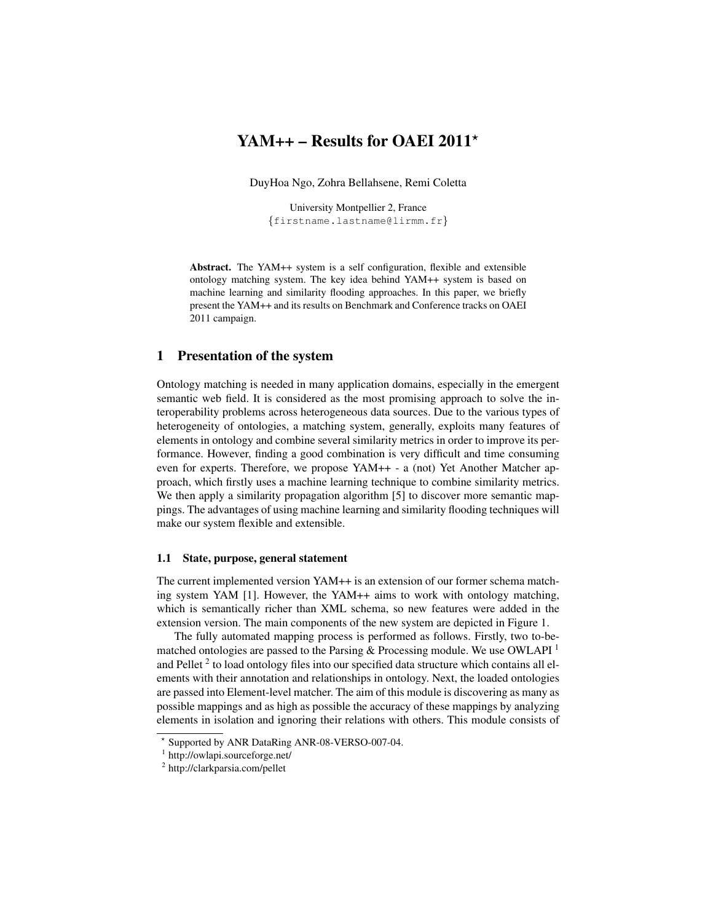# YAM++ – Results for OAEI 2011 $\star$

DuyHoa Ngo, Zohra Bellahsene, Remi Coletta

University Montpellier 2, France {firstname.lastname@lirmm.fr}

Abstract. The YAM++ system is a self configuration, flexible and extensible ontology matching system. The key idea behind YAM++ system is based on machine learning and similarity flooding approaches. In this paper, we briefly present the YAM++ and its results on Benchmark and Conference tracks on OAEI 2011 campaign.

# 1 Presentation of the system

Ontology matching is needed in many application domains, especially in the emergent semantic web field. It is considered as the most promising approach to solve the interoperability problems across heterogeneous data sources. Due to the various types of heterogeneity of ontologies, a matching system, generally, exploits many features of elements in ontology and combine several similarity metrics in order to improve its performance. However, finding a good combination is very difficult and time consuming even for experts. Therefore, we propose YAM++ - a (not) Yet Another Matcher approach, which firstly uses a machine learning technique to combine similarity metrics. We then apply a similarity propagation algorithm [5] to discover more semantic mappings. The advantages of using machine learning and similarity flooding techniques will make our system flexible and extensible.

#### 1.1 State, purpose, general statement

The current implemented version YAM++ is an extension of our former schema matching system YAM [1]. However, the YAM++ aims to work with ontology matching, which is semantically richer than XML schema, so new features were added in the extension version. The main components of the new system are depicted in Figure 1.

The fully automated mapping process is performed as follows. Firstly, two to-bematched ontologies are passed to the Parsing  $\&$  Processing module. We use OWLAPI  $<sup>1</sup>$ </sup> and Pellet<sup>2</sup> to load ontology files into our specified data structure which contains all elements with their annotation and relationships in ontology. Next, the loaded ontologies are passed into Element-level matcher. The aim of this module is discovering as many as possible mappings and as high as possible the accuracy of these mappings by analyzing elements in isolation and ignoring their relations with others. This module consists of

<sup>?</sup> Supported by ANR DataRing ANR-08-VERSO-007-04.

<sup>1</sup> http://owlapi.sourceforge.net/

<sup>&</sup>lt;sup>2</sup> http://clarkparsia.com/pellet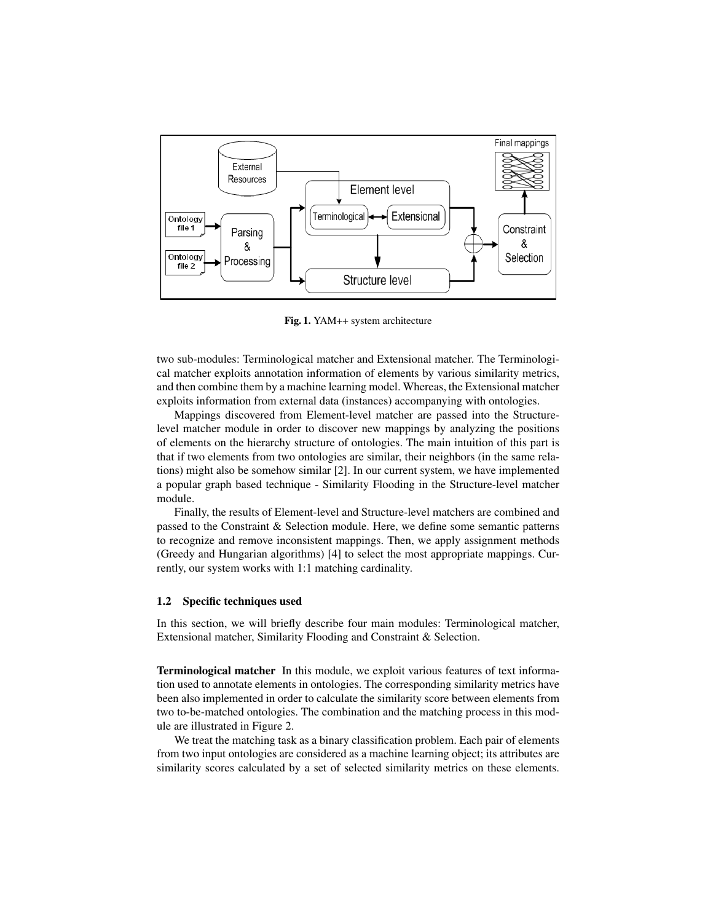

Fig. 1. YAM++ system architecture

two sub-modules: Terminological matcher and Extensional matcher. The Terminological matcher exploits annotation information of elements by various similarity metrics, and then combine them by a machine learning model. Whereas, the Extensional matcher exploits information from external data (instances) accompanying with ontologies.

Mappings discovered from Element-level matcher are passed into the Structurelevel matcher module in order to discover new mappings by analyzing the positions of elements on the hierarchy structure of ontologies. The main intuition of this part is that if two elements from two ontologies are similar, their neighbors (in the same relations) might also be somehow similar [2]. In our current system, we have implemented a popular graph based technique - Similarity Flooding in the Structure-level matcher module.

Finally, the results of Element-level and Structure-level matchers are combined and passed to the Constraint & Selection module. Here, we define some semantic patterns to recognize and remove inconsistent mappings. Then, we apply assignment methods (Greedy and Hungarian algorithms) [4] to select the most appropriate mappings. Currently, our system works with 1:1 matching cardinality.

### 1.2 Specific techniques used

In this section, we will briefly describe four main modules: Terminological matcher, Extensional matcher, Similarity Flooding and Constraint & Selection.

Terminological matcher In this module, we exploit various features of text information used to annotate elements in ontologies. The corresponding similarity metrics have been also implemented in order to calculate the similarity score between elements from two to-be-matched ontologies. The combination and the matching process in this module are illustrated in Figure 2.

We treat the matching task as a binary classification problem. Each pair of elements from two input ontologies are considered as a machine learning object; its attributes are similarity scores calculated by a set of selected similarity metrics on these elements.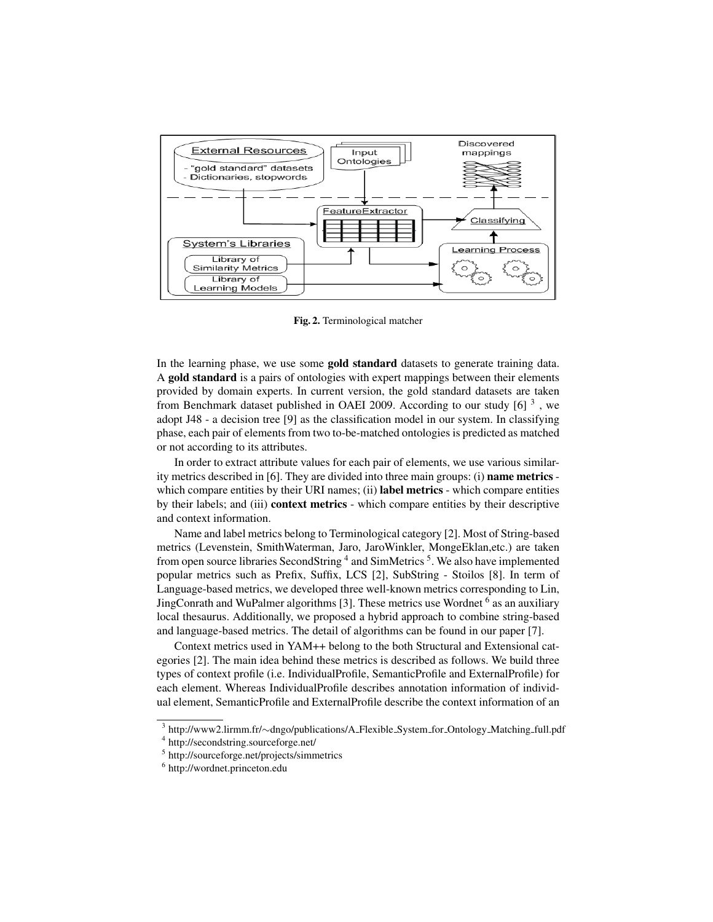

Fig. 2. Terminological matcher

In the learning phase, we use some gold standard datasets to generate training data. A gold standard is a pairs of ontologies with expert mappings between their elements provided by domain experts. In current version, the gold standard datasets are taken from Benchmark dataset published in OAEI 2009. According to our study  $[6]$ <sup>3</sup>, we adopt J48 - a decision tree [9] as the classification model in our system. In classifying phase, each pair of elements from two to-be-matched ontologies is predicted as matched or not according to its attributes.

In order to extract attribute values for each pair of elements, we use various similarity metrics described in  $[6]$ . They are divided into three main groups: (i) **name metrics** which compare entities by their URI names; (ii) **label metrics** - which compare entities by their labels; and (iii) context metrics - which compare entities by their descriptive and context information.

Name and label metrics belong to Terminological category [2]. Most of String-based metrics (Levenstein, SmithWaterman, Jaro, JaroWinkler, MongeEklan,etc.) are taken from open source libraries SecondString <sup>4</sup> and SimMetrics <sup>5</sup>. We also have implemented popular metrics such as Prefix, Suffix, LCS [2], SubString - Stoilos [8]. In term of Language-based metrics, we developed three well-known metrics corresponding to Lin, JingConrath and WuPalmer algorithms [3]. These metrics use Wordnet <sup>6</sup> as an auxiliary local thesaurus. Additionally, we proposed a hybrid approach to combine string-based and language-based metrics. The detail of algorithms can be found in our paper [7].

Context metrics used in YAM++ belong to the both Structural and Extensional categories [2]. The main idea behind these metrics is described as follows. We build three types of context profile (i.e. IndividualProfile, SemanticProfile and ExternalProfile) for each element. Whereas IndividualProfile describes annotation information of individual element, SemanticProfile and ExternalProfile describe the context information of an

<sup>&</sup>lt;sup>3</sup> http://www2.lirmm.fr/∼dngo/publications/A\_Flexible\_System\_for\_Ontology\_Matching\_full.pdf

<sup>4</sup> http://secondstring.sourceforge.net/

<sup>5</sup> http://sourceforge.net/projects/simmetrics

<sup>6</sup> http://wordnet.princeton.edu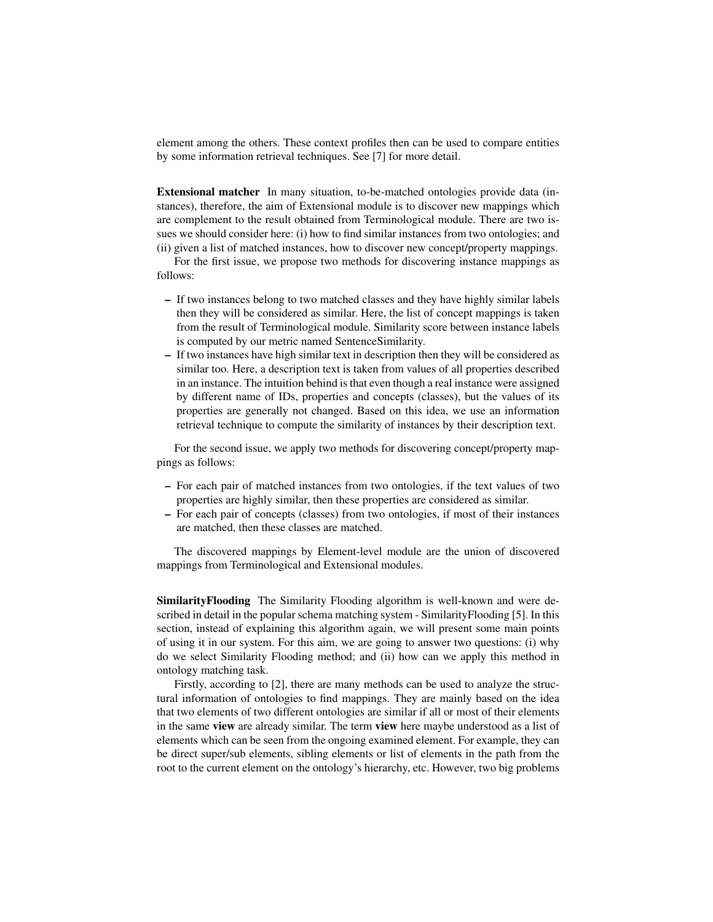element among the others. These context profiles then can be used to compare entities by some information retrieval techniques. See [7] for more detail.

Extensional matcher In many situation, to-be-matched ontologies provide data (instances), therefore, the aim of Extensional module is to discover new mappings which are complement to the result obtained from Terminological module. There are two issues we should consider here: (i) how to find similar instances from two ontologies; and (ii) given a list of matched instances, how to discover new concept/property mappings.

For the first issue, we propose two methods for discovering instance mappings as follows:

- If two instances belong to two matched classes and they have highly similar labels then they will be considered as similar. Here, the list of concept mappings is taken from the result of Terminological module. Similarity score between instance labels is computed by our metric named SentenceSimilarity.
- If two instances have high similar text in description then they will be considered as similar too. Here, a description text is taken from values of all properties described in an instance. The intuition behind is that even though a real instance were assigned by different name of IDs, properties and concepts (classes), but the values of its properties are generally not changed. Based on this idea, we use an information retrieval technique to compute the similarity of instances by their description text.

For the second issue, we apply two methods for discovering concept/property mappings as follows:

- For each pair of matched instances from two ontologies, if the text values of two properties are highly similar, then these properties are considered as similar.
- For each pair of concepts (classes) from two ontologies, if most of their instances are matched, then these classes are matched.

The discovered mappings by Element-level module are the union of discovered mappings from Terminological and Extensional modules.

SimilarityFlooding The Similarity Flooding algorithm is well-known and were described in detail in the popular schema matching system - SimilarityFlooding [5]. In this section, instead of explaining this algorithm again, we will present some main points of using it in our system. For this aim, we are going to answer two questions: (i) why do we select Similarity Flooding method; and (ii) how can we apply this method in ontology matching task.

Firstly, according to [2], there are many methods can be used to analyze the structural information of ontologies to find mappings. They are mainly based on the idea that two elements of two different ontologies are similar if all or most of their elements in the same view are already similar. The term view here maybe understood as a list of elements which can be seen from the ongoing examined element. For example, they can be direct super/sub elements, sibling elements or list of elements in the path from the root to the current element on the ontology's hierarchy, etc. However, two big problems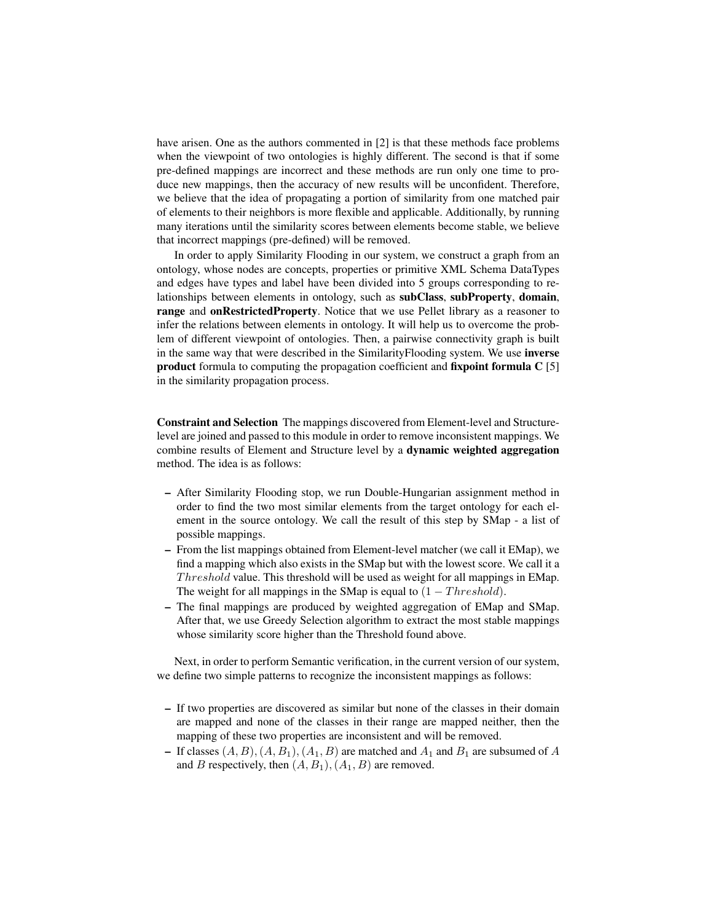have arisen. One as the authors commented in [2] is that these methods face problems when the viewpoint of two ontologies is highly different. The second is that if some pre-defined mappings are incorrect and these methods are run only one time to produce new mappings, then the accuracy of new results will be unconfident. Therefore, we believe that the idea of propagating a portion of similarity from one matched pair of elements to their neighbors is more flexible and applicable. Additionally, by running many iterations until the similarity scores between elements become stable, we believe that incorrect mappings (pre-defined) will be removed.

In order to apply Similarity Flooding in our system, we construct a graph from an ontology, whose nodes are concepts, properties or primitive XML Schema DataTypes and edges have types and label have been divided into 5 groups corresponding to relationships between elements in ontology, such as subClass, subProperty, domain, range and onRestrictedProperty. Notice that we use Pellet library as a reasoner to infer the relations between elements in ontology. It will help us to overcome the problem of different viewpoint of ontologies. Then, a pairwise connectivity graph is built in the same way that were described in the SimilarityFlooding system. We use inverse product formula to computing the propagation coefficient and fixpoint formula C [5] in the similarity propagation process.

Constraint and Selection The mappings discovered from Element-level and Structurelevel are joined and passed to this module in order to remove inconsistent mappings. We combine results of Element and Structure level by a dynamic weighted aggregation method. The idea is as follows:

- After Similarity Flooding stop, we run Double-Hungarian assignment method in order to find the two most similar elements from the target ontology for each element in the source ontology. We call the result of this step by SMap - a list of possible mappings.
- From the list mappings obtained from Element-level matcher (we call it EMap), we find a mapping which also exists in the SMap but with the lowest score. We call it a Threshold value. This threshold will be used as weight for all mappings in EMap. The weight for all mappings in the SMap is equal to  $(1 - Threshold)$ .
- The final mappings are produced by weighted aggregation of EMap and SMap. After that, we use Greedy Selection algorithm to extract the most stable mappings whose similarity score higher than the Threshold found above.

Next, in order to perform Semantic verification, in the current version of our system, we define two simple patterns to recognize the inconsistent mappings as follows:

- If two properties are discovered as similar but none of the classes in their domain are mapped and none of the classes in their range are mapped neither, then the mapping of these two properties are inconsistent and will be removed.
- If classes  $(A, B), (A, B_1), (A_1, B)$  are matched and  $A_1$  and  $B_1$  are subsumed of A and B respectively, then  $(A, B_1), (A_1, B)$  are removed.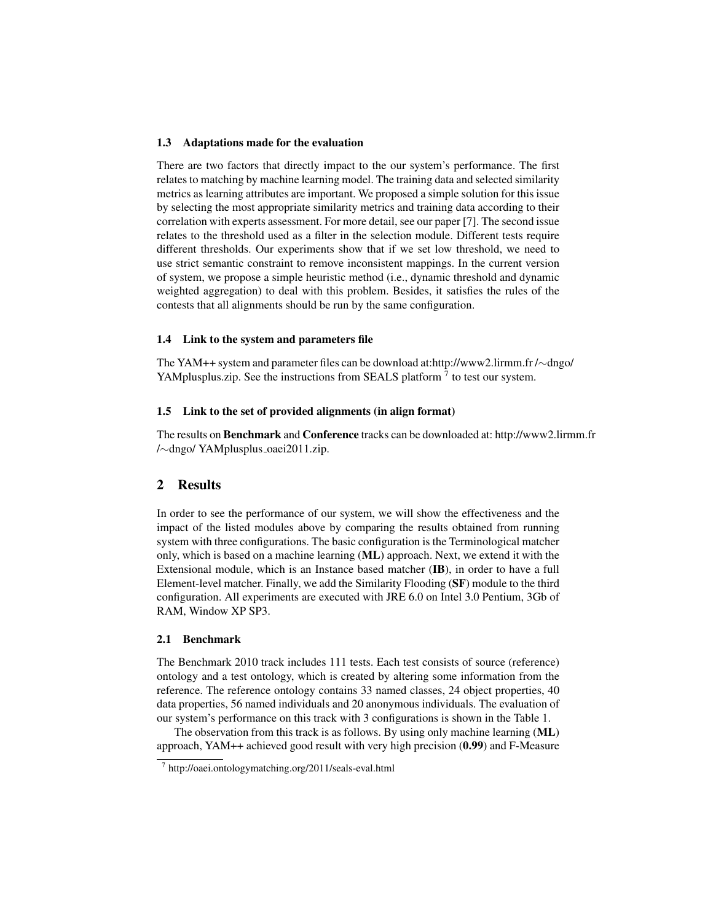### 1.3 Adaptations made for the evaluation

There are two factors that directly impact to the our system's performance. The first relates to matching by machine learning model. The training data and selected similarity metrics as learning attributes are important. We proposed a simple solution for this issue by selecting the most appropriate similarity metrics and training data according to their correlation with experts assessment. For more detail, see our paper [7]. The second issue relates to the threshold used as a filter in the selection module. Different tests require different thresholds. Our experiments show that if we set low threshold, we need to use strict semantic constraint to remove inconsistent mappings. In the current version of system, we propose a simple heuristic method (i.e., dynamic threshold and dynamic weighted aggregation) to deal with this problem. Besides, it satisfies the rules of the contests that all alignments should be run by the same configuration.

### 1.4 Link to the system and parameters file

The YAM++ system and parameter files can be download at:http://www2.lirmm.fr /∼dngo/ YAMplusplus.zip. See the instructions from SEALS platform  $^7$  to test our system.

### 1.5 Link to the set of provided alignments (in align format)

The results on Benchmark and Conference tracks can be downloaded at: http://www2.lirmm.fr /∼dngo/ YAMplusplus oaei2011.zip.

# 2 Results

In order to see the performance of our system, we will show the effectiveness and the impact of the listed modules above by comparing the results obtained from running system with three configurations. The basic configuration is the Terminological matcher only, which is based on a machine learning (ML) approach. Next, we extend it with the Extensional module, which is an Instance based matcher (IB), in order to have a full Element-level matcher. Finally, we add the Similarity Flooding (SF) module to the third configuration. All experiments are executed with JRE 6.0 on Intel 3.0 Pentium, 3Gb of RAM, Window XP SP3.

# 2.1 Benchmark

The Benchmark 2010 track includes 111 tests. Each test consists of source (reference) ontology and a test ontology, which is created by altering some information from the reference. The reference ontology contains 33 named classes, 24 object properties, 40 data properties, 56 named individuals and 20 anonymous individuals. The evaluation of our system's performance on this track with 3 configurations is shown in the Table 1.

The observation from this track is as follows. By using only machine learning (ML) approach, YAM++ achieved good result with very high precision (0.99) and F-Measure

<sup>7</sup> http://oaei.ontologymatching.org/2011/seals-eval.html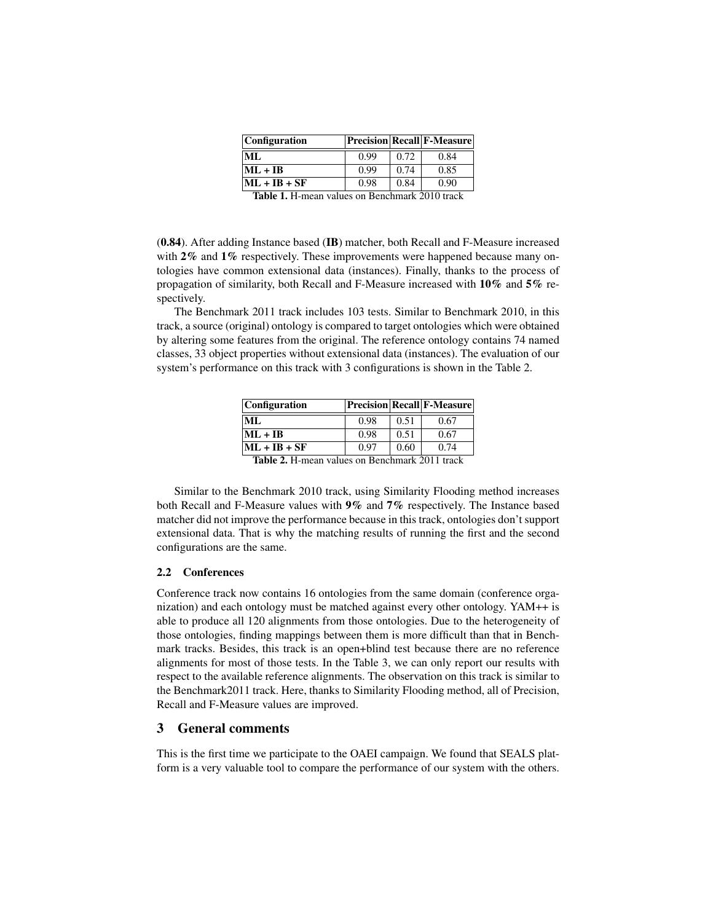| <i>Configuration</i> |      |      | <b>Precision Recall F-Measure</b> |
|----------------------|------|------|-----------------------------------|
| ML.                  | 0.99 | 0.72 | 0.84                              |
| $ML + IB$            | 0.99 | 0.74 | 0.85                              |
| $ML + IB + SF$       | 0.98 | 0.84 | 0.90                              |
| 70 1 1 1 1 1 T       | n.   |      | $\bigcap_{\alpha=1}$              |

Table 1. H-mean values on Benchmark 2010 track

(0.84). After adding Instance based (IB) matcher, both Recall and F-Measure increased with 2% and 1% respectively. These improvements were happened because many ontologies have common extensional data (instances). Finally, thanks to the process of propagation of similarity, both Recall and F-Measure increased with 10% and 5% respectively.

The Benchmark 2011 track includes 103 tests. Similar to Benchmark 2010, in this track, a source (original) ontology is compared to target ontologies which were obtained by altering some features from the original. The reference ontology contains 74 named classes, 33 object properties without extensional data (instances). The evaluation of our system's performance on this track with 3 configurations is shown in the Table 2.

| Configuration                                         |      |      | <b>Precision Recall F-Measure</b> |  |  |
|-------------------------------------------------------|------|------|-----------------------------------|--|--|
| ML.                                                   | 0.98 | 0.51 | 0.67                              |  |  |
| $ML + IB$                                             | 0.98 | 0.51 | 0.67                              |  |  |
| $ML + IB + SF$                                        | 0.97 | 0.60 | 0.74                              |  |  |
| <b>Table 2.</b> H-mean values on Benchmark 2011 track |      |      |                                   |  |  |

Similar to the Benchmark 2010 track, using Similarity Flooding method increases both Recall and F-Measure values with 9% and 7% respectively. The Instance based matcher did not improve the performance because in this track, ontologies don't support extensional data. That is why the matching results of running the first and the second configurations are the same.

### 2.2 Conferences

Conference track now contains 16 ontologies from the same domain (conference organization) and each ontology must be matched against every other ontology. YAM++ is able to produce all 120 alignments from those ontologies. Due to the heterogeneity of those ontologies, finding mappings between them is more difficult than that in Benchmark tracks. Besides, this track is an open+blind test because there are no reference alignments for most of those tests. In the Table 3, we can only report our results with respect to the available reference alignments. The observation on this track is similar to the Benchmark2011 track. Here, thanks to Similarity Flooding method, all of Precision, Recall and F-Measure values are improved.

# 3 General comments

This is the first time we participate to the OAEI campaign. We found that SEALS platform is a very valuable tool to compare the performance of our system with the others.